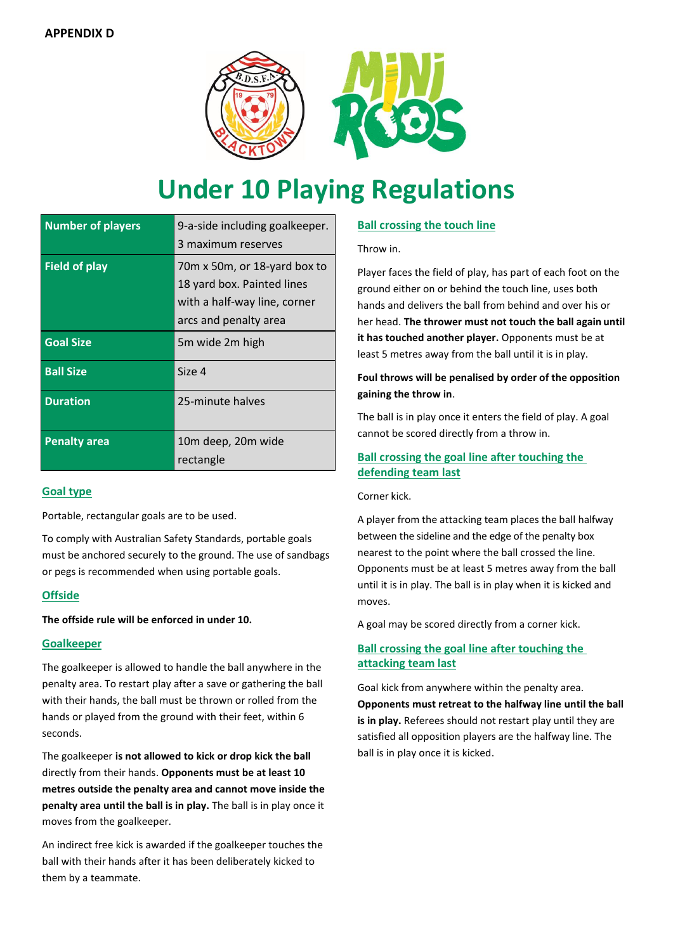

# **Under 10 Playing Regulations**

| <b>Number of players</b> | 9-a-side including goalkeeper.<br>3 maximum reserves                                                                |
|--------------------------|---------------------------------------------------------------------------------------------------------------------|
| <b>Field of play</b>     | 70m x 50m, or 18-yard box to<br>18 yard box. Painted lines<br>with a half-way line, corner<br>arcs and penalty area |
| <b>Goal Size</b>         | 5m wide 2m high                                                                                                     |
| <b>Ball Size</b>         | Size 4                                                                                                              |
| <b>Duration</b>          | 25-minute halves                                                                                                    |
| <b>Penalty area</b>      | 10m deep, 20m wide<br>rectangle                                                                                     |

### **Goal type**

Portable, rectangular goals are to be used.

To comply with Australian Safety Standards, portable goals must be anchored securely to the ground. The use of sandbags or pegs is recommended when using portable goals.

### **Offside**

### **The offside rule will be enforced in under 10.**

### **Goalkeeper**

The goalkeeper is allowed to handle the ball anywhere in the penalty area. To restart play after a save or gathering the ball with their hands, the ball must be thrown or rolled from the hands or played from the ground with their feet, within 6 seconds.

The goalkeeper **is not allowed to kick or drop kick the ball**  directly from their hands. **Opponents must be at least 10 metres outside the penalty area and cannot move inside the penalty area until the ball is in play.** The ball is in play once it moves from the goalkeeper.

An indirect free kick is awarded if the goalkeeper touches the ball with their hands after it has been deliberately kicked to them by a teammate.

## **Ball crossing the touch line**

Throw in.

Player faces the field of play, has part of each foot on the ground either on or behind the touch line, uses both hands and delivers the ball from behind and over his or her head. **The thrower must not touch the ball again until it has touched another player.** Opponents must be at least 5 metres away from the ball until it is in play.

## **Foul throws will be penalised by order of the opposition gaining the throw in**.

The ball is in play once it enters the field of play. A goal cannot be scored directly from a throw in.

## **Ball crossing the goal line after touching the defending team last**

Corner kick.

A player from the attacking team places the ball halfway between the sideline and the edge of the penalty box nearest to the point where the ball crossed the line. Opponents must be at least 5 metres away from the ball until it is in play. The ball is in play when it is kicked and moves.

A goal may be scored directly from a corner kick.

## **Ball crossing the goal line after touching the attacking team last**

Goal kick from anywhere within the penalty area. **Opponents must retreat to the halfway line until the ball is in play.** Referees should not restart play until they are satisfied all opposition players are the halfway line. The ball is in play once it is kicked.